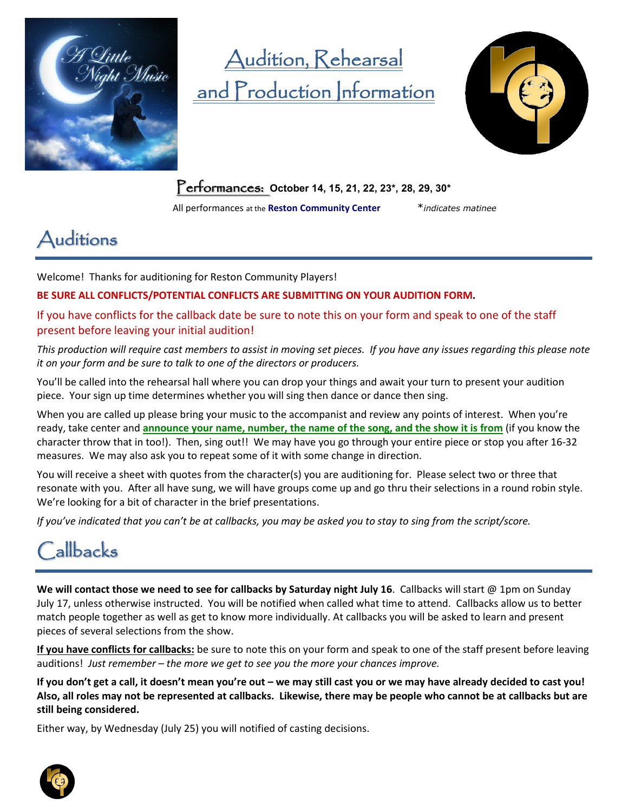

# Audition, Rehearsal and Production Information



Performances: **October 14, 15, 21, 22, 23\*, 28, 29, 30\***

All performances at the **Reston Community Center** \**indicates matinee*

## Auditions

Welcome! Thanks for auditioning for Reston Community Players!

**BE SURE ALL CONFLICTS/POTENTIAL CONFLICTS ARE SUBMITTING ON YOUR AUDITION FORM.**

If you have conflicts for the callback date be sure to note this on your form and speak to one of the staff present before leaving your initial audition!

*This production will require cast members to assist in moving set pieces. If you have any issues regarding this please note it on your form and be sure to talk to one of the directors or producers.*

You'll be called into the rehearsal hall where you can drop your things and await your turn to present your audition piece. Your sign up time determines whether you will sing then dance or dance then sing.

When you are called up please bring your music to the accompanist and review any points of interest. When you're ready, take center and **announce your name, number, the name of the song, and the show it is from** (if you know the character throw that in too!). Then, sing out!! We may have you go through your entire piece or stop you after 16-32 measures. We may also ask you to repeat some of it with some change in direction.

You will receive a sheet with quotes from the character(s) you are auditioning for. Please select two or three that resonate with you. After all have sung, we will have groups come up and go thru their selections in a round robin style. We're looking for a bit of character in the brief presentations.

*If you've indicated that you can't be at callbacks, you may be asked you to stay to sing from the script/score.*

## **Callbacks**

**We will contact those we need to see for callbacks by Saturday night July 16**. Callbacks will start @ 1pm on Sunday July 17, unless otherwise instructed. You will be notified when called what time to attend. Callbacks allow us to better match people together as well as get to know more individually. At callbacks you will be asked to learn and present pieces of several selections from the show.

**If you have conflicts for callbacks:** be sure to note this on your form and speak to one of the staff present before leaving auditions! *Just remember – the more we get to see you the more your chances improve.*

**If you don't get a call, it doesn't mean you're out – we may still cast you or we may have already decided to cast you! Also, all roles may not be represented at callbacks. Likewise, there may be people who cannot be at callbacks but are still being considered.** 

Either way, by Wednesday (July 25) you will notified of casting decisions.